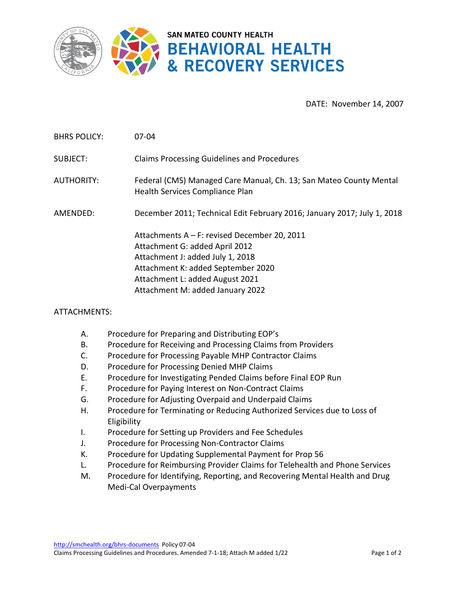

DATE: November 14, 2007

BHRS POLICY: 07-04

SUBJECT: Claims Processing Guidelines and Procedures

AUTHORITY: Federal (CMS) Managed Care Manual, Ch. 13; San Mateo County Mental Health Services Compliance Plan

AMENDED: December 2011; Technical Edit February 2016; January 2017; July 1, 2018

Attachments A – F: revised December 20, 2011 Attachment G: added April 2012 Attachment J: added July 1, 2018 Attachment K: added September 2020 Attachment L: added August 2021 Attachment M: added January 2022

## ATTACHMENTS:

- A. Procedure for Preparing and Distributing EOP's
- B. Procedure for Receiving and Processing Claims from Providers
- C. Procedure for Processing Payable MHP Contractor Claims
- D. Procedure for Processing Denied MHP Claims
- E. Procedure for Investigating Pended Claims before Final EOP Run
- F. Procedure for Paying Interest on Non-Contract Claims
- G. Procedure for Adjusting Overpaid and Underpaid Claims
- H. Procedure for Terminating or Reducing Authorized Services due to Loss of Eligibility
- I. Procedure for Setting up Providers and Fee Schedules
- J. Procedure for Processing Non-Contractor Claims
- K. Procedure for Updating Supplemental Payment for Prop 56
- L. Procedure for Reimbursing Provider Claims for Telehealth and Phone Services
- M. Procedure for Identifying, Reporting, and Recovering Mental Health and Drug Medi-Cal Overpayments